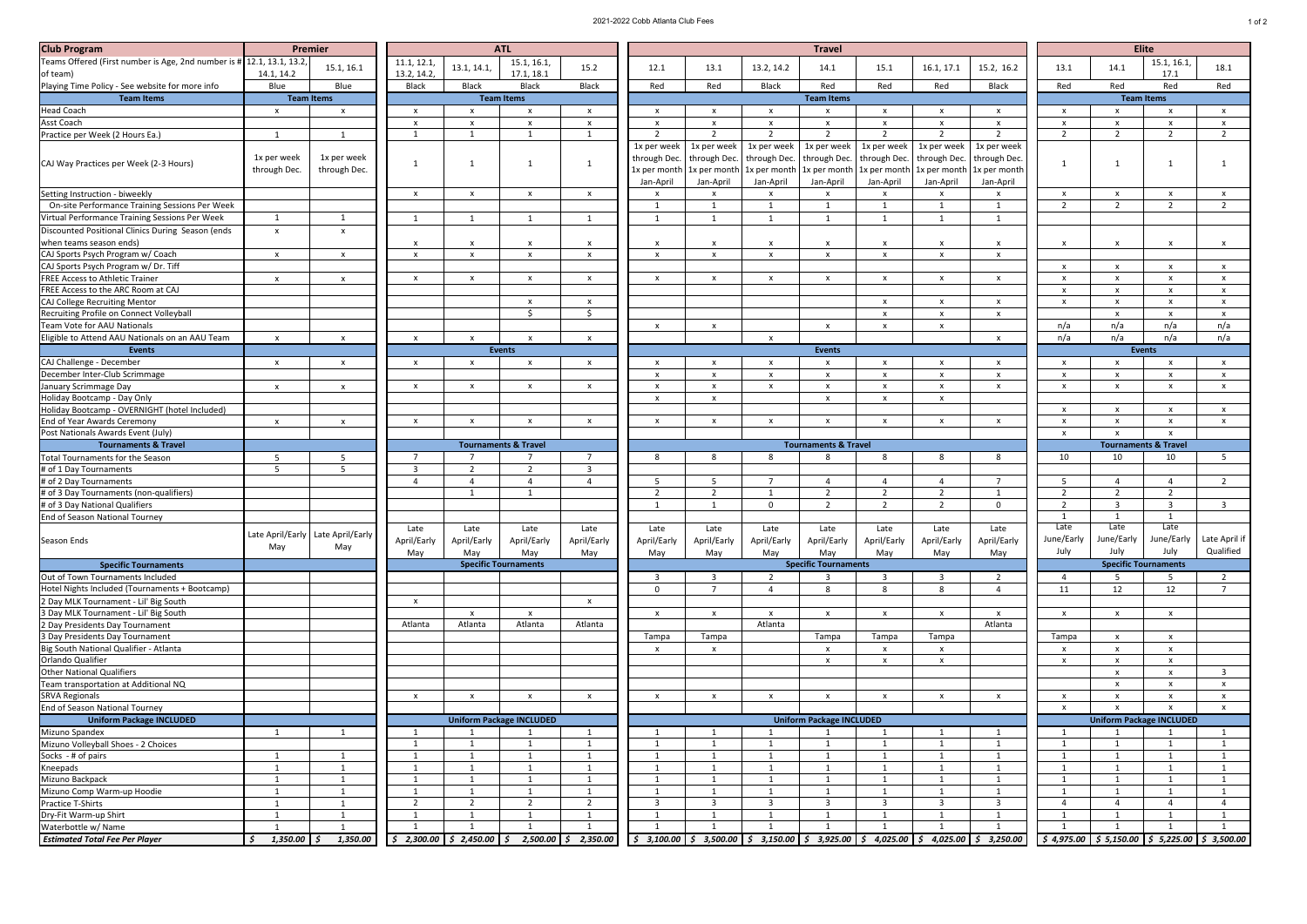| <b>Club Program</b>                                                   |                | <b>Premier</b>                      |                           |                           | <b>ATL</b>                      |                           | <b>Travel</b>             |                                                                                                        |              |                                 |                           |                           |                           |               | <b>Elite</b>                    |                                                                                                                  |                |  |
|-----------------------------------------------------------------------|----------------|-------------------------------------|---------------------------|---------------------------|---------------------------------|---------------------------|---------------------------|--------------------------------------------------------------------------------------------------------|--------------|---------------------------------|---------------------------|---------------------------|---------------------------|---------------|---------------------------------|------------------------------------------------------------------------------------------------------------------|----------------|--|
| Teams Offered (First number is Age, 2nd number is # 12.1, 13.1, 13.2, |                |                                     | 11.1, 12.1,               |                           | 15.1, 16.1,                     |                           |                           |                                                                                                        |              |                                 |                           |                           |                           |               |                                 | 15.1, 16.1,                                                                                                      |                |  |
| of team)                                                              | 14.1, 14.2     | 15.1, 16.1                          | 13.2, 14.2,               | 13.1, 14.1,               | 17.1, 18.1                      | 15.2                      | 12.1                      | 13.1                                                                                                   | 13.2, 14.2   | 14.1                            | 15.1                      | 16.1, 17.1                | 15.2, 16.2                | 13.1          | 14.1                            | 17.1                                                                                                             | 18.1           |  |
| Playing Time Policy - See website for more info                       | Blue           | Blue                                | <b>Black</b>              | <b>Black</b>              | <b>Black</b>                    | <b>Black</b>              | Red                       | Red                                                                                                    | <b>Black</b> | Red                             | Red                       | Red                       | <b>Black</b>              | Red           | Red                             | Red                                                                                                              | Red            |  |
| <b>Team Items</b>                                                     |                | <b>Team Items</b>                   |                           |                           | <b>Team Items</b>               |                           |                           |                                                                                                        |              | <b>Team Items</b>               |                           |                           |                           |               |                                 | <b>Team Items</b>                                                                                                |                |  |
| <b>Head Coach</b>                                                     | $\mathbf{x}$   | $\mathsf{x}$                        | $\boldsymbol{\mathsf{x}}$ | x                         |                                 | $\mathsf{x}$              | $\mathsf{x}$              |                                                                                                        |              |                                 | $\boldsymbol{\mathsf{x}}$ |                           | X                         |               |                                 |                                                                                                                  |                |  |
| <b>Asst Coach</b>                                                     |                |                                     | $\mathbf{x}$              |                           | $\mathsf{x}$                    | $\boldsymbol{\mathsf{x}}$ | $\mathsf{x}$              |                                                                                                        | $\mathbf{x}$ | x                               | $\mathsf{x}$              | $\boldsymbol{\mathsf{x}}$ | $\boldsymbol{\mathsf{x}}$ |               |                                 |                                                                                                                  |                |  |
| Practice per Week (2 Hours Ea.)                                       |                |                                     |                           |                           |                                 |                           | $\overline{\mathbf{z}}$   | $\bigcap$                                                                                              | ຳ            |                                 | $\mathcal{D}$             | ി                         |                           | $\mathcal{L}$ |                                 |                                                                                                                  |                |  |
|                                                                       |                |                                     |                           |                           |                                 |                           | 1x per week               | 1x per week                                                                                            | 1x per week  | 1x per week                     | 1x per week               | 1x per week               | 1x per week               |               |                                 |                                                                                                                  |                |  |
|                                                                       | 1x per week    | 1x per week                         |                           |                           |                                 |                           |                           | through Dec.   through Dec.   through Dec.   through Dec.   through Dec.   through Dec.   through Dec. |              |                                 |                           |                           |                           |               |                                 |                                                                                                                  |                |  |
| CAJ Way Practices per Week (2-3 Hours)                                | through Dec.   | through Dec.                        |                           |                           |                                 |                           |                           | 1x per month   1x per month   1x per month   1x per month   1x per month   1x per month   1x per month |              |                                 |                           |                           |                           |               |                                 |                                                                                                                  |                |  |
|                                                                       |                |                                     |                           |                           |                                 |                           | Jan-April                 | Jan-April                                                                                              | Jan-April    | Jan-April                       | Jan-April                 | Jan-April                 | Jan-April                 |               |                                 |                                                                                                                  |                |  |
| Setting Instruction - biweekly                                        |                |                                     | $\mathsf{X}$              | $\mathbf{x}$              | $\mathbf{x}$                    | $\mathsf{x}$              | $\mathsf{x}$              |                                                                                                        | $\mathsf{x}$ |                                 | $\mathsf{x}$              |                           | $\boldsymbol{\mathsf{x}}$ |               |                                 |                                                                                                                  | X              |  |
| On-site Performance Training Sessions Per Week                        |                |                                     |                           |                           |                                 |                           |                           |                                                                                                        |              |                                 |                           |                           |                           |               | ຳ                               |                                                                                                                  |                |  |
| Virtual Performance Training Sessions Per Week                        | $\overline{1}$ |                                     |                           |                           |                                 |                           |                           |                                                                                                        |              |                                 |                           |                           |                           |               |                                 |                                                                                                                  |                |  |
| Discounted Positional Clinics During Season (ends                     |                |                                     |                           |                           |                                 |                           |                           |                                                                                                        |              |                                 |                           |                           |                           |               |                                 |                                                                                                                  |                |  |
| when teams season ends)                                               | $\mathsf{X}$   | $\mathsf{x}$                        |                           |                           |                                 |                           |                           |                                                                                                        |              |                                 | $\mathsf{x}$              |                           | X                         |               | X                               |                                                                                                                  |                |  |
| CAJ Sports Psych Program w/ Coach                                     |                |                                     |                           | $\mathsf{x}$              | $\mathsf{x}$<br>$\mathsf{x}$    | $\mathsf{x}$              | $\boldsymbol{\mathsf{X}}$ |                                                                                                        | $\mathbf{x}$ | $\mathbf{x}$                    |                           |                           | $\boldsymbol{\mathsf{x}}$ |               |                                 |                                                                                                                  |                |  |
|                                                                       | $\mathsf{X}$   | $\mathsf{X}$                        | $\mathbf{x}$              |                           |                                 |                           | $\mathsf{x}$              |                                                                                                        |              |                                 | $\mathsf{X}$              | $\boldsymbol{\mathsf{x}}$ |                           |               | $\mathbf{x}$                    |                                                                                                                  |                |  |
| CAJ Sports Psych Program w/ Dr. Tiff                                  |                |                                     |                           |                           |                                 |                           |                           |                                                                                                        |              |                                 |                           |                           |                           | $\mathbf{x}$  |                                 | $\mathsf{x}$                                                                                                     | X              |  |
| <b>FREE Access to Athletic Trainer</b>                                | $\mathsf{X}$   | $\mathsf{x}$                        | $\mathsf{X}$              | $\mathbf{x}$              | $\mathbf{x}$                    | $\boldsymbol{\mathsf{x}}$ | $\mathsf{x}$              |                                                                                                        | $\mathbf{x}$ | $\boldsymbol{\mathsf{x}}$       | $\mathsf{X}$              | $\mathsf{x}$              | $\mathsf{x}$              | $\mathsf{x}$  |                                 |                                                                                                                  |                |  |
| FREE Access to the ARC Room at CAJ                                    |                |                                     |                           |                           |                                 |                           |                           |                                                                                                        |              |                                 |                           |                           |                           |               |                                 |                                                                                                                  |                |  |
| CAJ College Recruiting Mentor                                         |                |                                     |                           |                           | $\mathsf{x}$                    | X                         |                           |                                                                                                        |              |                                 | $\boldsymbol{\mathsf{X}}$ | $\boldsymbol{\mathsf{x}}$ | $\boldsymbol{\mathsf{X}}$ | $\mathbf{x}$  |                                 | $\mathbf{x}$                                                                                                     |                |  |
| Recruiting Profile on Connect Volleyball                              |                |                                     |                           |                           | Ŝ.                              |                           |                           |                                                                                                        |              |                                 | $\mathsf{X}$              | X                         | $\boldsymbol{\mathsf{x}}$ |               | X                               | $\boldsymbol{\mathsf{x}}$                                                                                        | $\mathbf{x}$   |  |
| Team Vote for AAU Nationals                                           |                |                                     |                           |                           |                                 |                           | $\boldsymbol{\mathsf{x}}$ |                                                                                                        |              | $\boldsymbol{\mathsf{x}}$       | $\boldsymbol{\mathsf{x}}$ |                           |                           | n/a           | n/a                             | n/a                                                                                                              | n/a            |  |
| Eligible to Attend AAU Nationals on an AAU Team                       | $\mathbf{x}$   | $\mathsf{x}$                        | $\mathbf{x}$              | $\mathbf{x}$              | $\mathbf{v}$                    | $\mathsf{x}$              |                           |                                                                                                        | $\mathbf{x}$ |                                 |                           |                           | $\mathsf{x}$              | n/a           | n/a                             | n/a                                                                                                              | n/a            |  |
| <b>Events</b>                                                         |                |                                     |                           |                           | <b>Events</b>                   |                           |                           |                                                                                                        |              | Events                          |                           |                           |                           |               |                                 | Events                                                                                                           |                |  |
| CAJ Challenge - December                                              | $\mathbf{x}$   | $\mathsf{x}$                        | $\boldsymbol{\mathsf{x}}$ | x                         |                                 | $\mathsf{x}$              | X                         |                                                                                                        |              |                                 | $\mathbf{x}$              |                           |                           |               |                                 |                                                                                                                  |                |  |
| December Inter-Club Scrimmage                                         |                |                                     |                           |                           |                                 |                           | X                         |                                                                                                        |              |                                 | $\boldsymbol{\mathsf{x}}$ |                           |                           |               |                                 |                                                                                                                  |                |  |
| January Scrimmage Day                                                 | X              | X.                                  | X                         | X                         | X.                              | X                         | $\boldsymbol{\mathsf{x}}$ | X                                                                                                      |              | X                               | $\boldsymbol{\mathsf{x}}$ | X                         | X                         | X             | X                               | X                                                                                                                | $\mathbf{x}$   |  |
| Holiday Bootcamp - Day Only                                           |                |                                     |                           |                           |                                 |                           | $\mathsf{x}$              | X                                                                                                      |              | $\boldsymbol{\mathsf{x}}$       | $\boldsymbol{\mathsf{x}}$ | $\boldsymbol{\mathsf{x}}$ |                           |               |                                 |                                                                                                                  |                |  |
| Holiday Bootcamp - OVERNIGHT (hotel Included)                         |                |                                     |                           |                           |                                 |                           |                           |                                                                                                        |              |                                 |                           |                           |                           | $\mathbf{x}$  | $\mathbf{x}$                    | $\mathsf{x}$                                                                                                     | $\mathbf{x}$   |  |
| End of Year Awards Ceremony                                           | $\mathsf{X}$   | $\mathsf{x}$                        | $\boldsymbol{\mathsf{x}}$ | $\boldsymbol{\mathsf{x}}$ | $\mathsf{x}$                    | $\mathsf{x}$              | $\mathsf{x}$              | $\boldsymbol{\mathsf{x}}$                                                                              | $\mathbf{x}$ | $\boldsymbol{\mathsf{x}}$       | $\boldsymbol{\mathsf{x}}$ | $\mathbf x$               | $\boldsymbol{\mathsf{x}}$ |               |                                 | X                                                                                                                | $\mathbf{x}$   |  |
| Post Nationals Awards Event (July)                                    |                |                                     |                           |                           |                                 |                           |                           |                                                                                                        |              |                                 |                           |                           |                           | X             |                                 | $\mathbf{x}$                                                                                                     |                |  |
|                                                                       |                |                                     |                           |                           |                                 |                           |                           |                                                                                                        |              |                                 |                           |                           |                           |               |                                 |                                                                                                                  |                |  |
| <b>Tournaments &amp; Travel</b>                                       |                |                                     |                           |                           | <b>Tournaments &amp; Travel</b> |                           |                           |                                                                                                        |              | <b>Tournaments &amp; Travel</b> |                           |                           |                           |               | <b>Tournaments &amp; Travel</b> |                                                                                                                  |                |  |
| Total Tournaments for the Season                                      |                |                                     |                           |                           |                                 |                           |                           |                                                                                                        |              |                                 | -8                        |                           | 8                         | 10            | 10                              | 10                                                                                                               |                |  |
| # of 1 Day Tournaments                                                |                |                                     |                           |                           | ຳ                               |                           |                           |                                                                                                        |              |                                 |                           |                           |                           |               |                                 |                                                                                                                  |                |  |
| # of 2 Day Tournaments                                                |                |                                     |                           |                           |                                 |                           | -5                        |                                                                                                        |              |                                 | $\Lambda$                 |                           |                           |               |                                 |                                                                                                                  |                |  |
| # of 3 Day Tournaments (non-qualifiers)                               |                |                                     |                           |                           |                                 |                           | $\mathcal{L}$             |                                                                                                        |              |                                 | $\mathbf{r}$              |                           |                           |               |                                 |                                                                                                                  |                |  |
| # of 3 Day National Qualifiers                                        |                |                                     |                           |                           |                                 |                           |                           |                                                                                                        | $\Omega$     |                                 | $\mathcal{D}$             |                           | $\Omega$                  |               |                                 |                                                                                                                  | 3              |  |
| <b>End of Season National Tourney</b>                                 |                |                                     |                           |                           |                                 |                           |                           |                                                                                                        |              |                                 |                           |                           |                           |               |                                 |                                                                                                                  |                |  |
|                                                                       |                |                                     | Late                      | Late                      | Late                            | Late                      | Late                      | Late                                                                                                   | Late         | Late                            | Late                      | Late                      | Late                      | Late          | Late                            | Late                                                                                                             |                |  |
| Season Ends                                                           |                | Late April/Early   Late April/Early | April/Early               | April/Early               | April/Early                     | April/Early               | April/Early               | April/Early                                                                                            | April/Early  | April/Early                     | April/Early               | April/Early               | April/Early               | June/Early    | June/Early                      | June/Early                                                                                                       | Late April if  |  |
|                                                                       | May            | May                                 | May                       | May                       | May                             | May                       | May                       | May                                                                                                    | May          | May                             | May                       | May                       | May                       | July          | July                            | July                                                                                                             | Qualified      |  |
| <b>Specific Tournaments</b>                                           |                |                                     |                           |                           | <b>Specific Tournaments</b>     |                           |                           |                                                                                                        |              | <b>Specific Tournaments</b>     |                           |                           |                           |               |                                 | <b>Specific Tournaments</b>                                                                                      |                |  |
| Out of Town Tournaments Included                                      |                |                                     |                           |                           |                                 |                           | $\overline{\mathbf{3}}$   |                                                                                                        |              |                                 | 3                         |                           |                           |               |                                 |                                                                                                                  |                |  |
| Hotel Nights Included (Tournaments + Bootcamp)                        |                |                                     |                           |                           |                                 |                           | $\Omega$                  |                                                                                                        |              | 8                               | 8                         | 8                         |                           | 11            | 12                              | 12                                                                                                               |                |  |
| 2 Day MLK Tournament - Lil' Big South                                 |                |                                     | $\mathbf{X}$              |                           |                                 | $\mathsf{X}$              |                           |                                                                                                        |              |                                 |                           |                           |                           |               |                                 |                                                                                                                  |                |  |
| 3 Day MLK Tournament - Lil' Big South                                 |                |                                     |                           | $\mathbf{x}$              | $\mathsf{x}$                    |                           | $\mathbf{X}$              | $\mathbf{x}$                                                                                           | $\mathbf{x}$ | $\mathsf{X}$                    | $\mathsf{X}$              | $\mathsf{X}$              | $\mathsf{x}$              | $\mathsf{X}$  | $\mathsf{X}$                    | $\mathsf{X}$                                                                                                     |                |  |
| 2 Day Presidents Day Tournament                                       |                |                                     | Atlanta                   | Atlanta                   | Atlanta                         | Atlanta                   |                           |                                                                                                        | Atlanta      |                                 |                           |                           | Atlanta                   |               |                                 |                                                                                                                  |                |  |
| 3 Day Presidents Day Tournament                                       |                |                                     |                           |                           |                                 |                           | Tampa                     | Tampa                                                                                                  |              | Tampa                           | Tampa                     | Tampa                     |                           | Tampa         | $\mathbf{x}$                    | $\boldsymbol{\mathsf{x}}$                                                                                        |                |  |
| Big South National Qualifier - Atlanta                                |                |                                     |                           |                           |                                 |                           | $\mathsf{X}$              |                                                                                                        |              | $\mathsf{x}$                    | $\mathsf{x}$              |                           |                           | X             | X.                              | X                                                                                                                |                |  |
| Orlando Qualifier                                                     |                |                                     |                           |                           |                                 |                           |                           |                                                                                                        |              |                                 | $\boldsymbol{\mathsf{x}}$ |                           |                           |               |                                 |                                                                                                                  |                |  |
| <b>Other National Qualifiers</b>                                      |                |                                     |                           |                           |                                 |                           |                           |                                                                                                        |              |                                 |                           |                           |                           |               |                                 | X                                                                                                                | $\overline{3}$ |  |
| Team transportation at Additional NQ                                  |                |                                     |                           |                           |                                 |                           |                           |                                                                                                        |              |                                 |                           |                           |                           |               | X                               |                                                                                                                  |                |  |
| <b>SRVA Regionals</b>                                                 |                |                                     | $\boldsymbol{\mathsf{x}}$ | X                         | $\mathsf{x}$                    | $\boldsymbol{\mathsf{x}}$ | $\boldsymbol{\mathsf{x}}$ | x                                                                                                      | X            | $\boldsymbol{\mathsf{x}}$       | $\boldsymbol{\mathsf{x}}$ | X                         | $\boldsymbol{\mathsf{x}}$ |               |                                 |                                                                                                                  |                |  |
| <b>End of Season National Tourney</b>                                 |                |                                     |                           |                           |                                 |                           |                           |                                                                                                        |              |                                 |                           |                           |                           | X             |                                 |                                                                                                                  |                |  |
| <b>Uniform Package INCLUDED</b>                                       |                |                                     |                           |                           | <b>Uniform Package INCLUDED</b> |                           |                           |                                                                                                        |              | <b>Uniform Package INCLUDED</b> |                           |                           |                           |               |                                 | <b>Uniform Package INCLUDED</b>                                                                                  |                |  |
| Mizuno Spandex                                                        |                |                                     |                           |                           |                                 |                           |                           |                                                                                                        |              |                                 |                           |                           |                           |               |                                 |                                                                                                                  |                |  |
| Mizuno Volleyball Shoes - 2 Choices                                   |                |                                     |                           |                           |                                 |                           |                           |                                                                                                        |              |                                 |                           |                           |                           |               |                                 |                                                                                                                  |                |  |
| Socks - # of pairs                                                    |                |                                     |                           |                           |                                 |                           |                           |                                                                                                        |              |                                 |                           |                           |                           |               |                                 |                                                                                                                  |                |  |
| Kneepads                                                              |                |                                     |                           |                           |                                 |                           |                           |                                                                                                        |              |                                 |                           |                           |                           |               |                                 |                                                                                                                  |                |  |
| Mizuno Backpack                                                       |                |                                     |                           |                           |                                 |                           |                           |                                                                                                        |              |                                 |                           |                           |                           |               |                                 |                                                                                                                  |                |  |
| Mizuno Comp Warm-up Hoodie                                            |                |                                     |                           |                           |                                 |                           |                           |                                                                                                        |              |                                 |                           |                           |                           |               |                                 |                                                                                                                  |                |  |
| <b>Practice T-Shirts</b>                                              |                |                                     | $\overline{2}$            | $\overline{2}$            | $\overline{2}$                  | ີ                         | $\overline{3}$            |                                                                                                        | -3           | 3                               | $\overline{3}$            | -3                        | $\overline{3}$            |               |                                 |                                                                                                                  |                |  |
| Dry-Fit Warm-up Shirt                                                 |                |                                     |                           |                           |                                 |                           |                           |                                                                                                        |              |                                 |                           |                           |                           |               |                                 |                                                                                                                  |                |  |
| Waterbottle w/ Name                                                   |                |                                     |                           |                           |                                 |                           |                           |                                                                                                        |              |                                 |                           |                           |                           |               |                                 | $\left[\begin{array}{cc c} \xi & 4.975.00 & \xi & 5.150.00 & \xi & 5.225.00 & \xi & 3.500.00 \end{array}\right]$ |                |  |